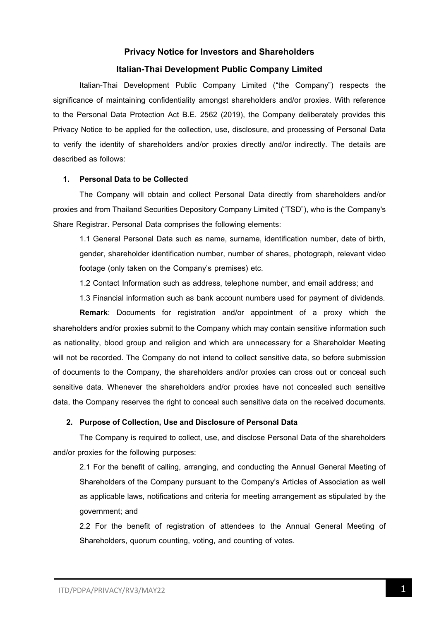# **Privacy Notice for Investors and Shareholders Italian-Thai Development Public Company Limited**

Italian-Thai Development Public Company Limited ("the Company") respects the significance of maintaining confidentiality amongst shareholders and/or proxies. With reference to the Personal Data Protection Act B.E. 2562 (2019), the Company deliberately provides this Privacy Notice to be applied for the collection, use, disclosure, and processing of Personal Data to verify the identity of shareholders and/or proxies directly and/or indirectly. The details are described as follows:

### **1. Personal Data to be Collected**

The Company will obtain and collect Personal Data directly from shareholders and/or proxies and from Thailand Securities Depository Company Limited ("TSD"), who is the Company's Share Registrar. Personal Data comprises the following elements:

1.1 General Personal Data such as name, surname, identification number, date of birth, gender, shareholder identification number, number of shares, photograph, relevant video footage (only taken on the Company's premises) etc.

1.2 Contact Information such as address, telephone number, and email address; and

1.3 Financial information such as bank account numbers used for payment of dividends.

**Remark**: Documents for registration and/or appointment of a proxy which the shareholders and/or proxies submit to the Company which may contain sensitive information such as nationality, blood group and religion and which are unnecessary for a Shareholder Meeting will not be recorded. The Company do not intend to collect sensitive data, so before submission of documents to the Company, the shareholders and/or proxies can cross out or conceal such sensitive data. Whenever the shareholders and/or proxies have not concealed such sensitive data, the Company reserves the right to conceal such sensitive data on the received documents.

### **2. Purpose of Collection, Use and Disclosure of Personal Data**

The Company is required to collect, use, and disclose Personal Data of the shareholders and/or proxies for the following purposes:

2.1 For the benefit of calling, arranging, and conducting the Annual General Meeting of Shareholders of the Company pursuant to the Company's Articles of Association as well as applicable laws, notifications and criteria for meeting arrangement as stipulated by the government; and

2.2 For the benefit of registration of attendees to the Annual General Meeting of Shareholders, quorum counting, voting, and counting of votes.